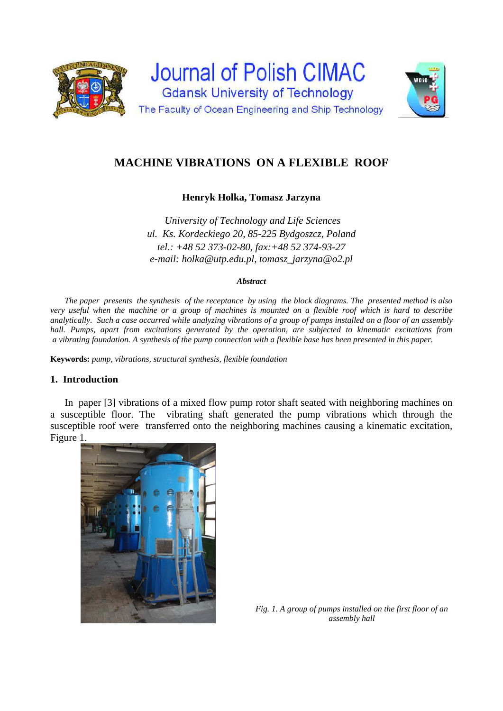



# **MACHINE VIBRATIONS ON A FLEXIBLE ROOF**

# **Henryk Holka, Tomasz Jarzyna**

*University of Technology and Life Sciences ul. Ks. Kordeckiego 20, 85-225 Bydgoszcz, Poland tel.: +48 52 373-02-80, fax:+48 52 374-93-27 e-mail: holka@utp.edu.pl, tomasz\_jarzyna@o2.pl* 

#### *Abstract*

*The paper presents the synthesis of the receptance by using the block diagrams. The presented method is also very useful when the machine or a group of machines is mounted on a flexible roof which is hard to describe analytically. Such a case occurred while analyzing vibrations of a group of pumps installed on a floor of an assembly hall. Pumps, apart from excitations generated by the operation, are subjected to kinematic excitations from a vibrating foundation. A synthesis of the pump connection with a flexible base has been presented in this paper.* 

**Keywords:** *pump, vibrations, structural synthesis, flexible foundation* 

### **1. Introduction**

In paper [3] vibrations of a mixed flow pump rotor shaft seated with neighboring machines on a susceptible floor. The vibrating shaft generated the pump vibrations which through the susceptible roof were transferred onto the neighboring machines causing a kinematic excitation, Figure 1.



*Fig. 1. A group of pumps installed on the first floor of an assembly hall*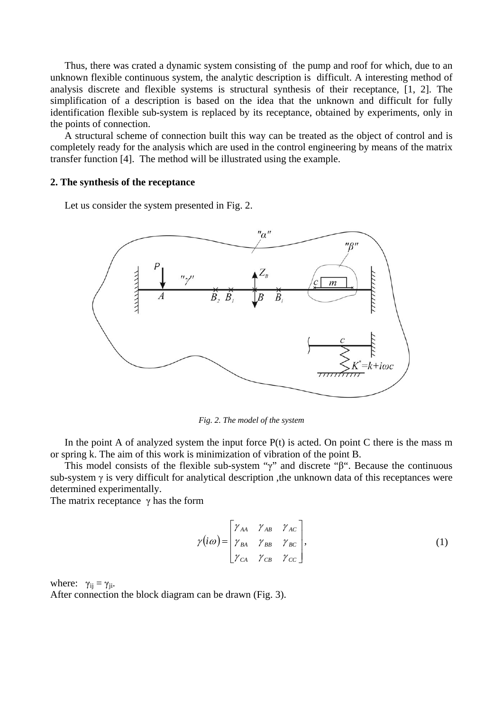Thus, there was crated a dynamic system consisting of the pump and roof for which, due to an unknown flexible continuous system, the analytic description is difficult. A interesting method of analysis discrete and flexible systems is structural synthesis of their receptance, [1, 2]. The simplification of a description is based on the idea that the unknown and difficult for fully identification flexible sub-system is replaced by its receptance, obtained by experiments, only in the points of connection.

A structural scheme of connection built this way can be treated as the object of control and is completely ready for the analysis which are used in the control engineering by means of the matrix transfer function [4]. The method will be illustrated using the example.

#### **2. The synthesis of the receptance**

Let us consider the system presented in Fig. 2.



*Fig. 2. The model of the system* 

In the point A of analyzed system the input force  $P(t)$  is acted. On point C there is the mass m or spring k. The aim of this work is minimization of vibration of the point B.

This model consists of the flexible sub-system "γ" and discrete "β". Because the continuous sub-system  $\gamma$  is very difficult for analytical description, the unknown data of this receptances were determined experimentally.

The matrix receptance  $\gamma$  has the form

$$
\gamma(i\omega) = \begin{bmatrix} \gamma_{AA} & \gamma_{AB} & \gamma_{AC} \\ \gamma_{BA} & \gamma_{BB} & \gamma_{BC} \\ \gamma_{CA} & \gamma_{CB} & \gamma_{CC} \end{bmatrix},
$$
\n(1)

where:  $\gamma_{ij} = \gamma_{ji}$ . After connection the block diagram can be drawn (Fig. 3).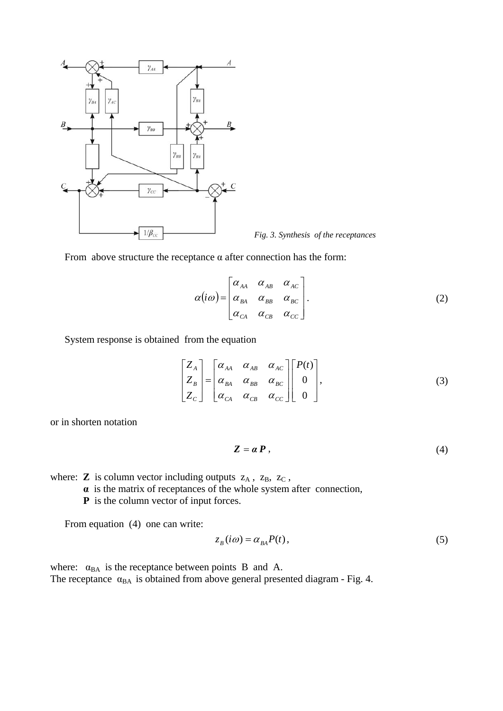

*Fig. 3. Synthesis of the receptances*



$$
\alpha(i\omega) = \begin{bmatrix} \alpha_{AA} & \alpha_{AB} & \alpha_{AC} \\ \alpha_{BA} & \alpha_{BB} & \alpha_{BC} \\ \alpha_{CA} & \alpha_{CB} & \alpha_{CC} \end{bmatrix}.
$$
 (2)

System response is obtained from the equation

$$
\begin{bmatrix} Z_A \\ Z_B \\ Z_C \end{bmatrix} = \begin{bmatrix} \alpha_{AA} & \alpha_{AB} & \alpha_{AC} \\ \alpha_{BA} & \alpha_{BB} & \alpha_{BC} \\ \alpha_{CA} & \alpha_{CB} & \alpha_{CC} \end{bmatrix} \begin{bmatrix} P(t) \\ 0 \\ 0 \end{bmatrix},
$$
 (3)

or in shorten notation

$$
Z = \alpha P, \tag{4}
$$

where:  $\mathbf{Z}$  is column vector including outputs  $z_A$ ,  $z_B$ ,  $z_C$ ,

 **α** is the matrix of receptances of the whole system after connection,

**P** is the column vector of input forces.

From equation (4) one can write:

$$
z_B(i\omega) = \alpha_{BA} P(t),\tag{5}
$$

where:  $\alpha_{BA}$  is the receptance between points B and A. The receptance  $\alpha_{BA}$  is obtained from above general presented diagram - Fig. 4.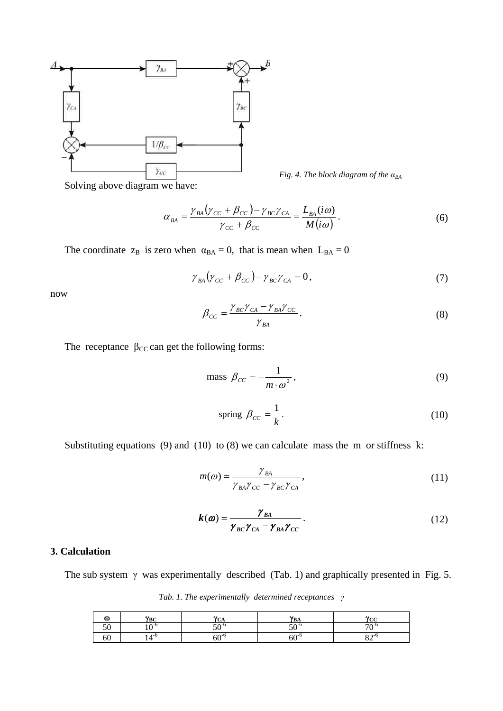

*Fig. 4. The block diagram of the*  $\alpha_{BA}$ 

Solving above diagram we have:

$$
\alpha_{BA} = \frac{\gamma_{BA} (\gamma_{CC} + \beta_{CC}) - \gamma_{BC} \gamma_{CA}}{\gamma_{CC} + \beta_{CC}} = \frac{L_{BA}(i\omega)}{M(i\omega)}.
$$
(6)

The coordinate  $z_B$  is zero when  $\alpha_{BA} = 0$ , that is mean when  $L_{BA} = 0$ 

$$
\gamma_{BA} (\gamma_{CC} + \beta_{CC}) - \gamma_{BC} \gamma_{CA} = 0, \qquad (7)
$$

now

$$
\beta_{CC} = \frac{\gamma_{BC}\gamma_{CA} - \gamma_{BA}\gamma_{CC}}{\gamma_{BA}}.
$$
\n(8)

The receptance  $\beta_{CC}$  can get the following forms:

mass 
$$
\beta_{cc} = -\frac{1}{m \cdot \omega^2}
$$
, (9)

spring 
$$
\beta_{cc} = \frac{1}{k}
$$
. (10)

Substituting equations (9) and (10) to  $(8)$  we can calculate mass the m or stiffness k:

$$
m(\omega) = \frac{\gamma_{BA}}{\gamma_{BA}\gamma_{CC} - \gamma_{BC}\gamma_{CA}},
$$
\n(11)

$$
k(\omega) = \frac{\gamma_{BA}}{\gamma_{BC}\gamma_{CA} - \gamma_{BA}\gamma_{CC}}.
$$
 (12)

## **3. Calculation**

The sub system  $\gamma$  was experimentally described (Tab. 1) and graphically presented in Fig. 5.

*Tab. 1. The experimentally determined receptances γ*

| ω  | $V_{\rm BC}$<br>DС | w<br>$\mathbf{u}$   | $\mathbf{v}_{\mathbf{n}}$<br>ЪΑ | $\mathbf{v}_{cc}$<br>u |
|----|--------------------|---------------------|---------------------------------|------------------------|
| ╯◡ | $\sim$ -c          | $\epsilon$ $\sim$ 0 | $\epsilon$ $\sim$ 6             | $70-t$                 |
| OU | $A - C$            | -^-۱                | $60^{-7}$                       | $22 - 1$<br>◡∸         |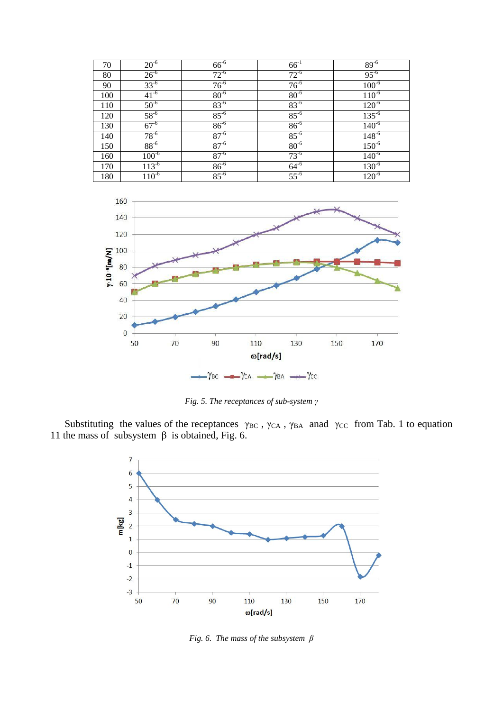| 70  | $20^{-6}$  | $66^{6}$  | $66^{-1}$ | $89^{-6}$  |
|-----|------------|-----------|-----------|------------|
| 80  | $26^{-6}$  | $72^{-6}$ | $72^{-6}$ | $95^{-6}$  |
| 90  | $33^{6}$   | $76^{-6}$ | $76^{-6}$ | $100^{-6}$ |
| 100 | $41^{-6}$  | $80^{6}$  | $80^{-6}$ | $110^{-6}$ |
| 110 | $50^{-6}$  | $83^{6}$  | $83^{-6}$ | $120^{-6}$ |
| 120 | $58^{-6}$  | $85^{-6}$ | $85^{-6}$ | $135^{6}$  |
| 130 | $67^{-6}$  | $86^{6}$  | $86^{6}$  | $140^{6}$  |
| 140 | $78^{-6}$  | $87^{-6}$ | $85^{-6}$ | $148^{-6}$ |
| 150 | $88^{-6}$  | $87^{-6}$ | $80^{-6}$ | $150^{6}$  |
| 160 | $100^{-6}$ | $87^{-6}$ | $73^{-6}$ | $140^{-6}$ |
| 170 | $113^{-6}$ | $86^{6}$  | $64^{-6}$ | $130^{-6}$ |
| 180 | $110^{-6}$ | $85^{-6}$ | $55^{-6}$ | $120^{-6}$ |



*Fig. 5. The receptances of sub-system γ*

Substituting the values of the receptances  $\gamma_{BC}$ ,  $\gamma_{CA}$ ,  $\gamma_{BA}$  anad  $\gamma_{CC}$  from Tab. 1 to equation 11 the mass of subsystem  $β$  is obtained, Fig. 6.



*Fig. 6. The mass of the subsystem β*